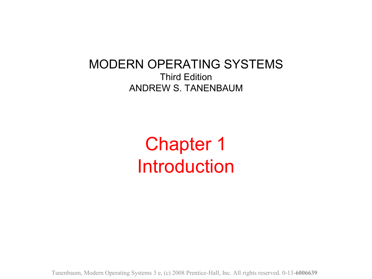MODERN OPERATING SYSTEMS Third Edition ANDREW S. TANENBAUM

> Chapter 1 Introduction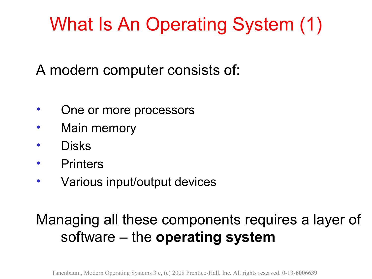# What Is An Operating System (1)

A modern computer consists of:

- One or more processors
- Main memory
- Disks
- **Printers**
- Various input/output devices

### Managing all these components requires a layer of software – the **operating system**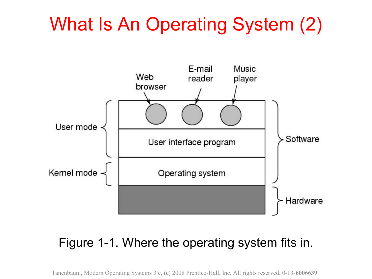# What Is An Operating System (2)



### Figure 1-1. Where the operating system fits in.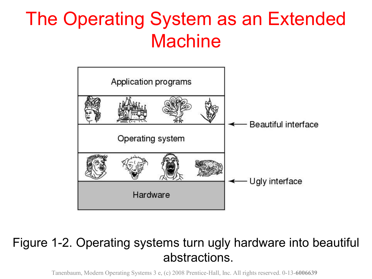# The Operating System as an Extended **Machine**



#### Figure 1-2. Operating systems turn ugly hardware into beautiful abstractions.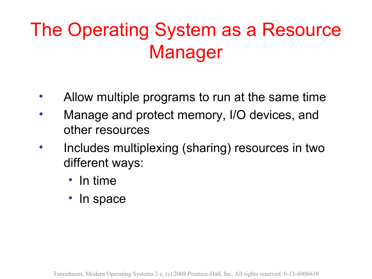# The Operating System as a Resource Manager

- Allow multiple programs to run at the same time
- Manage and protect memory, I/O devices, and other resources
- Includes multiplexing (sharing) resources in two different ways:
	- In time
	- In space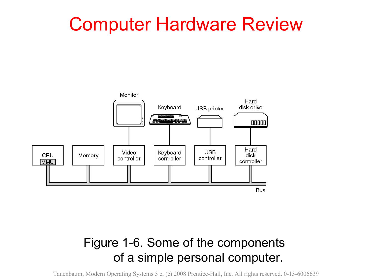### Computer Hardware Review



### Figure 1-6. Some of the components of a simple personal computer.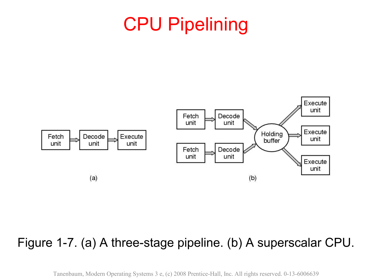# CPU Pipelining



#### Figure 1-7. (a) A three-stage pipeline. (b) A superscalar CPU.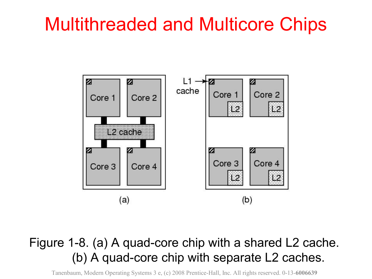### Multithreaded and Multicore Chips



#### Figure 1-8. (a) A quad-core chip with a shared L2 cache. (b) A quad-core chip with separate L2 caches.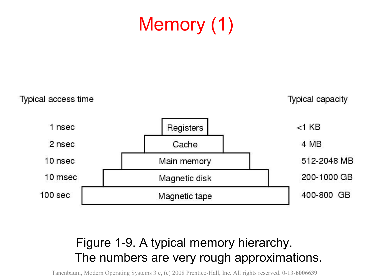# Memory (1)

Typical access time **Typical capacity** 1 nsec  $<$ 1 $KB$ Registers 2 nsec Cache 4 MB 10 nsec 512-2048 MB Main memory 10 msec 200-1000 GB Magnetic disk  $100<sub>sec</sub>$ 400-800 GB Magnetic tape

### Figure 1-9. A typical memory hierarchy. The numbers are very rough approximations.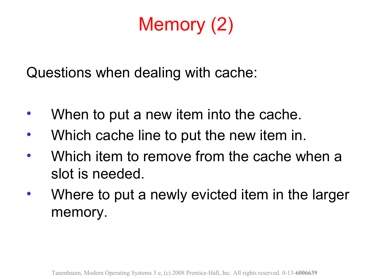# Memory (2)

Questions when dealing with cache:

- When to put a new item into the cache.
- Which cache line to put the new item in.
- Which item to remove from the cache when a slot is needed.
- Where to put a newly evicted item in the larger memory.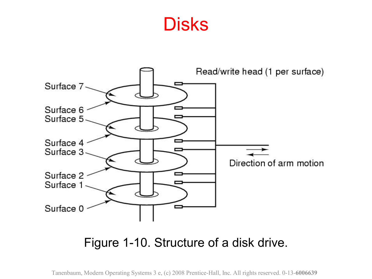### **Disks**



#### Figure 1-10. Structure of a disk drive.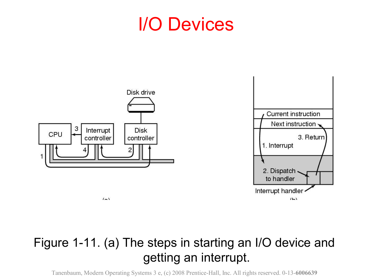### I/O Devices



### Figure 1-11. (a) The steps in starting an I/O device and getting an interrupt.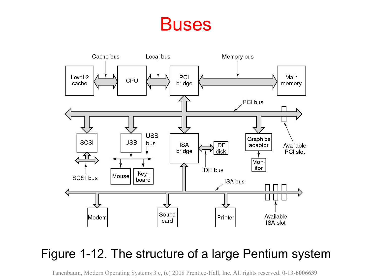### **Buses**



### Figure 1-12. The structure of a large Pentium system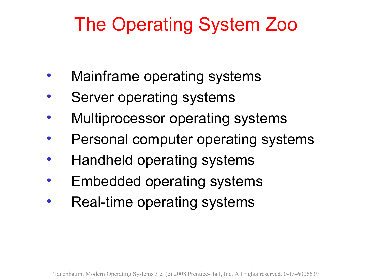# The Operating System Zoo

- Mainframe operating systems
- Server operating systems
- Multiprocessor operating systems
- Personal computer operating systems
- Handheld operating systems
- Embedded operating systems
- Real-time operating systems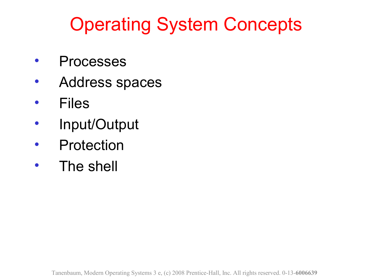# Operating System Concepts

- **Processes**
- Address spaces
- Files
- Input/Output
- Protection
- The shell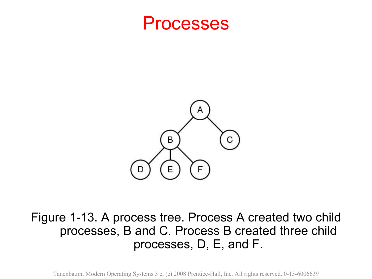



#### Figure 1-13. A process tree. Process A created two child processes, B and C. Process B created three child processes, D, E, and F.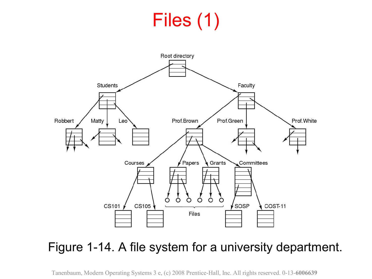# Files (1)



### Figure 1-14. A file system for a university department.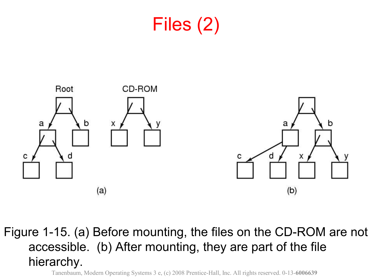



Figure 1-15. (a) Before mounting, the files on the CD-ROM are not accessible. (b) After mounting, they are part of the file hierarchy.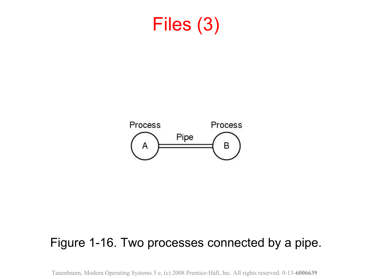### Files (3)



#### Figure 1-16. Two processes connected by a pipe.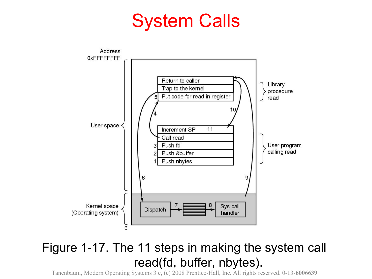### System Calls



#### Figure 1-17. The 11 steps in making the system call read(fd, buffer, nbytes).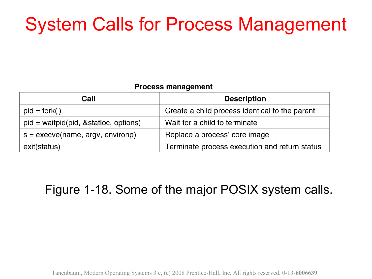# System Calls for Process Management

#### **Process management**

| Call                                    | <b>Description</b>                             |
|-----------------------------------------|------------------------------------------------|
| $pid = fork()$                          | Create a child process identical to the parent |
| $pid = waitpid(pid, & static, options)$ | Wait for a child to terminate                  |
| $s = execve(name, argv, environp)$      | Replace a process' core image                  |
| exit(status)                            | Terminate process execution and return status  |

### Figure 1-18. Some of the major POSIX system calls.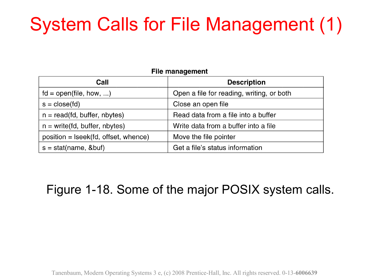# System Calls for File Management (1)

#### **File management**

| Call                                 | <b>Description</b>                        |
|--------------------------------------|-------------------------------------------|
| $fd = open(file, how, )$             | Open a file for reading, writing, or both |
| $s = close(fd)$                      | Close an open file                        |
| $n = read(fd, buffer, nbytes)$       | Read data from a file into a buffer       |
| $n = write(fd, buffer, nbytes)$      | Write data from a buffer into a file      |
| position = Iseek(fd, offset, whence) | Move the file pointer                     |
| $s = stat(name, & but)$              | Get a file's status information           |

Figure 1-18. Some of the major POSIX system calls.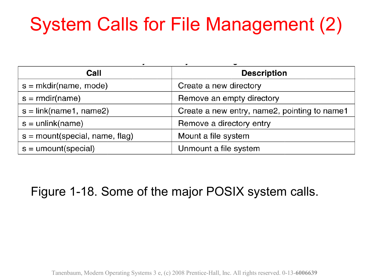# System Calls for File Management (2)

| Call                             | <b>Description</b>                           |
|----------------------------------|----------------------------------------------|
| $s = m$ kdir(name, mode)         | Create a new directory                       |
| $s = r$ mdir(name)               | Remove an empty directory                    |
| $s = link(name1, name2)$         | Create a new entry, name2, pointing to name1 |
| $s =$ unlink(name)               | Remove a directory entry                     |
| $s =$ mount(special, name, flag) | Mount a file system                          |
| $s =$ umount(special)            | Unmount a file system                        |

### Figure 1-18. Some of the major POSIX system calls.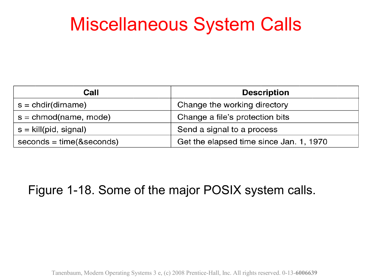### Miscellaneous System Calls

| Call                        | <b>Description</b>                      |
|-----------------------------|-----------------------------------------|
| $s = chdir(dirname)$        | Change the working directory            |
| $s =$ chmod(name, mode)     | Change a file's protection bits         |
| $s =$ kill(pid, signal)     | Send a signal to a process              |
| $seconds = time(8 seconds)$ | Get the elapsed time since Jan. 1, 1970 |

### Figure 1-18. Some of the major POSIX system calls.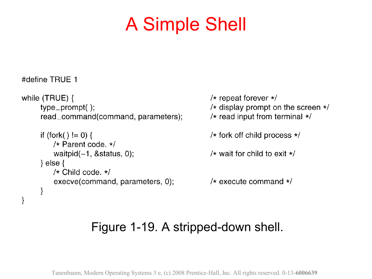### A Simple Shell

```
#define TRUE 1
while (TRUE) {
                                                      /* repeat forever *//* display prompt on the screen */type\_prompt();
                                                     /* read input from terminal */
     read_command(command, parameters);
     if (fork() != 0) {
                                                      /* fork off child process *//* Parent code, *//* wait for child to exit */waitpid(-1, 8status, 0);
     \} else \{/* Child code. *//* execute command */execve(command, parameters, 0);
     }
}
```
### Figure 1-19. A stripped-down shell.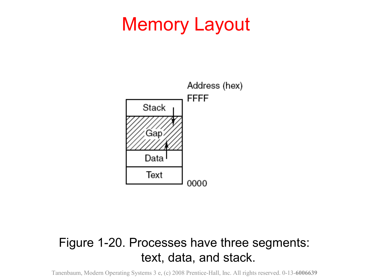### Memory Layout



### Figure 1-20. Processes have three segments: text, data, and stack.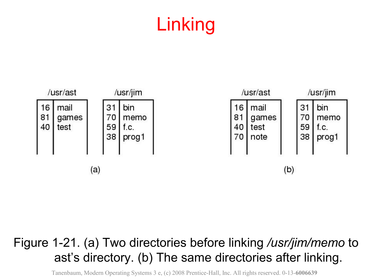# Linking



#### Figure 1-21. (a) Two directories before linking */usr/jim/memo* to ast's directory. (b) The same directories after linking.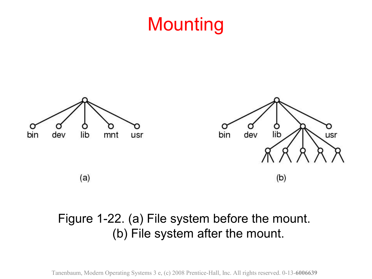## **Mounting**



### Figure 1-22. (a) File system before the mount. (b) File system after the mount.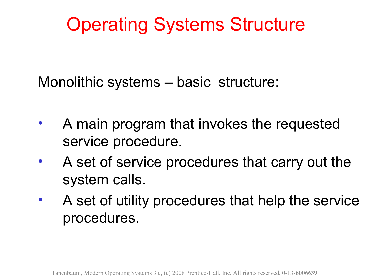# Operating Systems Structure

Monolithic systems – basic structure:

- A main program that invokes the requested service procedure.
- A set of service procedures that carry out the system calls.
- A set of utility procedures that help the service procedures.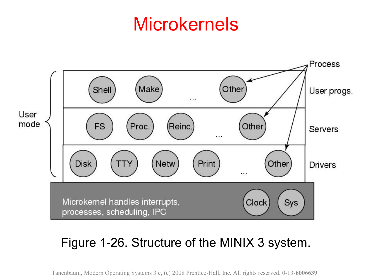### Microkernels



#### Figure 1-26. Structure of the MINIX 3 system.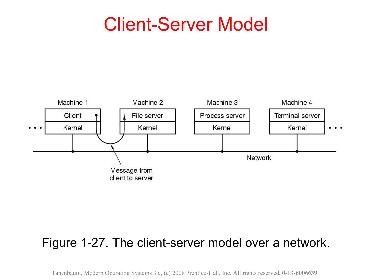### Client-Server Model



#### Figure 1-27. The client-server model over a network.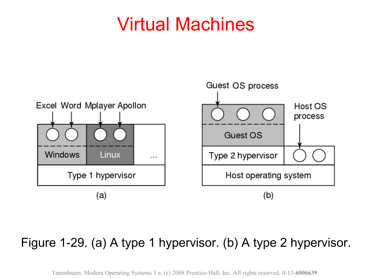### Virtual Machines



#### Figure 1-29. (a) A type 1 hypervisor. (b) A type 2 hypervisor.